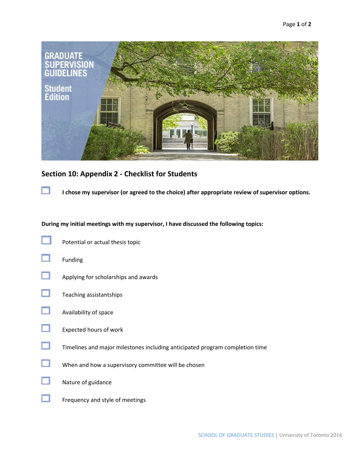

## **Section 10: Appendix 2 - Checklist for Students**

u

**I chose my supervisor (or agreed to the choice) after appropriate review of supervisor options.**

## **During my initial meetings with my supervisor, I have discussed the following topics:**

| Potential or actual thesis topic                                             |
|------------------------------------------------------------------------------|
| Funding                                                                      |
| Applying for scholarships and awards                                         |
| Teaching assistantships                                                      |
| Availability of space                                                        |
| Expected hours of work                                                       |
| Timelines and major milestones including anticipated program completion time |
| When and how a supervisory committee will be chosen                          |
| Nature of guidance                                                           |
| Frequency and style of meetings                                              |